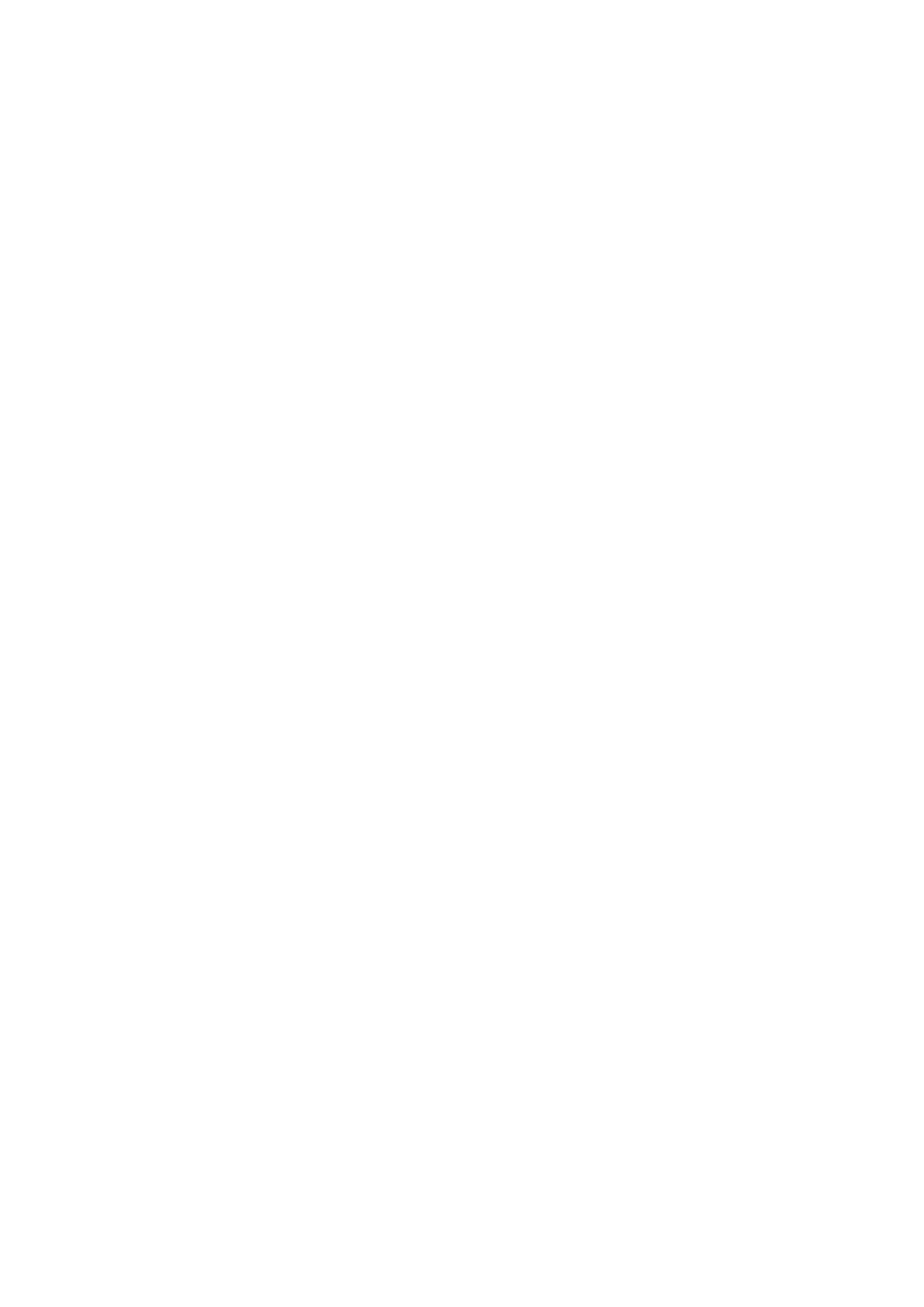

# **Evaluating vapor dispersion models for safety analysis of LNG facilities**

**FINAL REPORT BY:**

**M.J. Ivings, S.E. Gant, S.F. Jagger, C.J. Lea, J.R. Stewart and D.M. Webber**

Health & Safety Laboratory Buxton, Derbyshire, UK

September 2016

© 2016 Fire Protection Research Foundation

 1 Batterymarch Park, Quincy, MA 02169-7417, USA Email: foundation@nfpa.org | Web: nfpa.org/foundation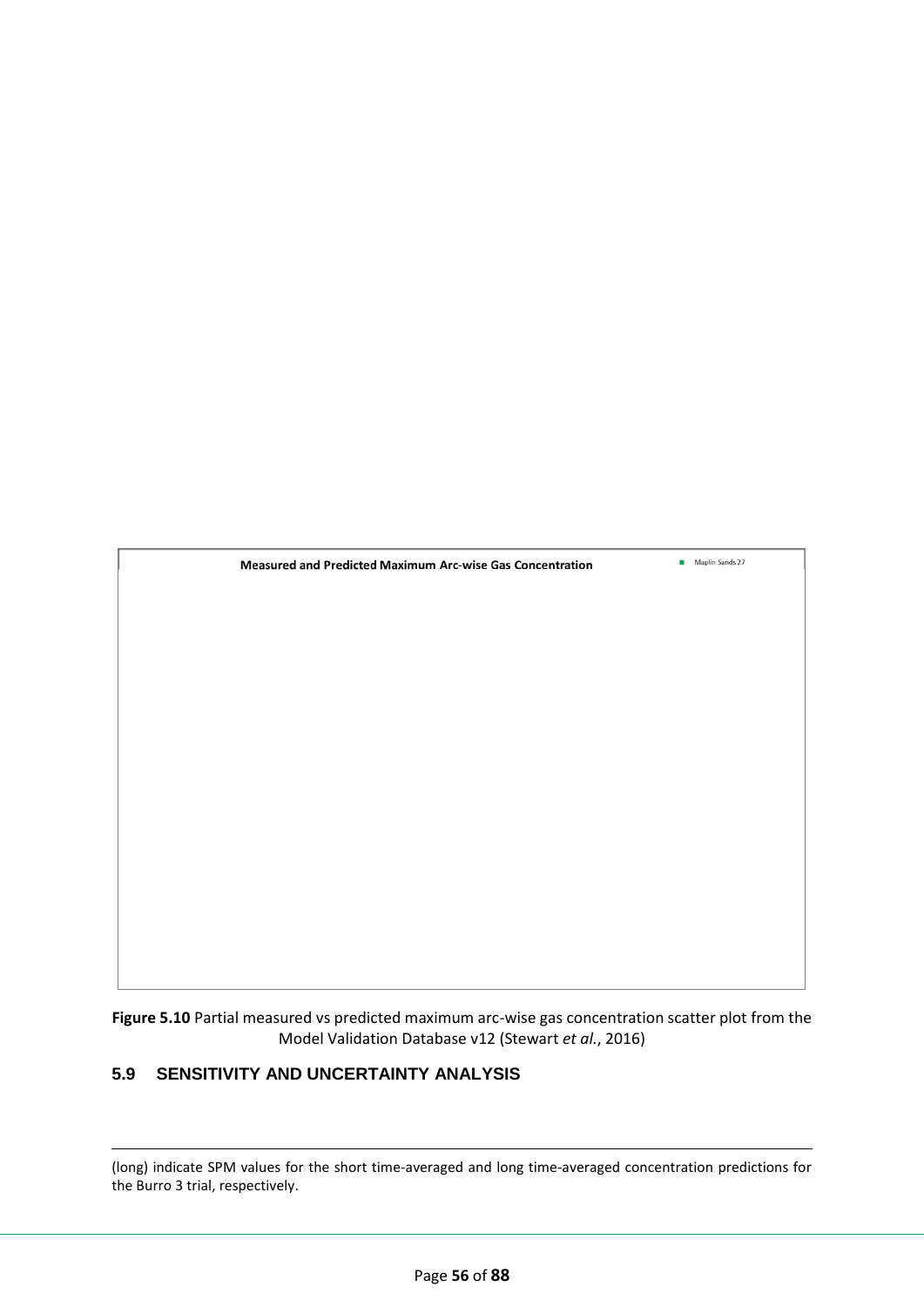This page intentionally left blank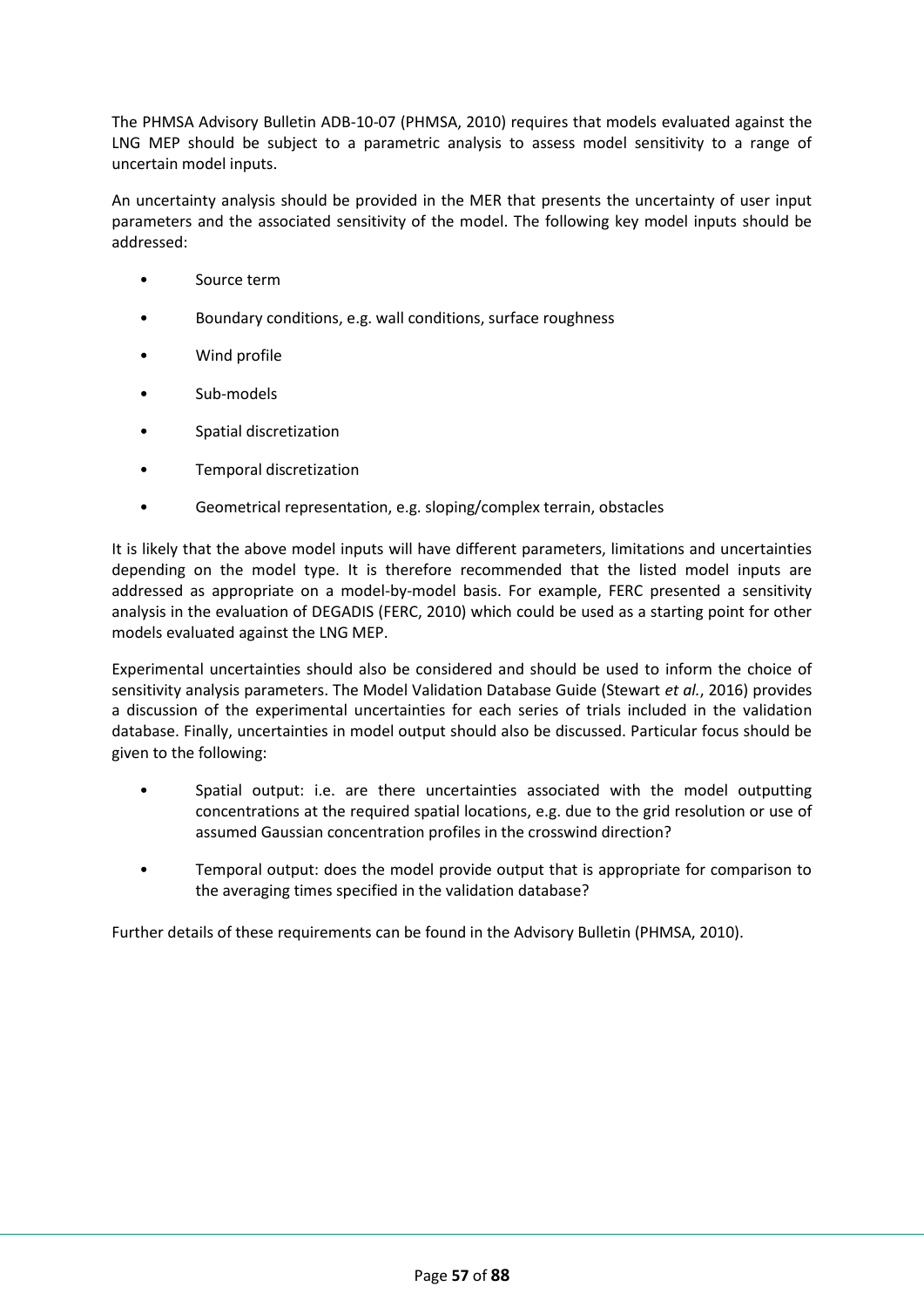### **FOREWORD**

This report describes a Model Evaluation Protocol (MEP) that can be used for assessing the suitability of Liquefied Natural Gas (LNG) dispersion models for estimating the size of exclusion zones around LNG facilities. The development of this MEP was funded by the Fire Protection Research Foundation (FPRF) of the National Fire Protection Association (NFPA) and the work was carried out by the UK Health and Safety Laboratory. This led to the publication of the first edition of this report in 2007 by Ivings et al. (2007).

Following the publication of this report in 2007, further work was carried out in the period 2008 to 2010 to develop and revise a database of experimental data that could be used to validate models as part of the MEP process (Coldrick et al., 2010). In addition, a review of LNG source models was produced (Webber et al., 2009) and PHMSA published an Advisory Bulletin clarifying the process for model validation (PHMSA, 2010).

More recently, substantial changes to the validation database have been made and further advice has been produced to describe how the MEP should be applied in practice (Stewart et al., 2016). This has led to a requirement to update the MEP and hence the publication of this second edition of the MEP report. This revision was carried out by the UK Health and Safety Laboratory, funded by Oak Ridge National Laboratory.

The Fire Protection Research Foundation expresses gratitude to the report authors: Matthew Ivings, Simon Gant, Stuart Jagger, Chris Lea, James Stewart, and David Webber, who are with Health & Safety Laboratory located in Buxton, Derbyshire, UK. The Research Foundation appreciates the guidance provided by the Project Technical Panelists, the funding provided by the project sponsors, and all others that contributed to this research effort.

The content, opinions and conclusions contained in this report are solely those of the authors and do not necessarily represent the views of the Fire Protection Research Foundation, NFPA, Technical Panel or Sponsors. The Foundation makes no guaranty or warranty as to the accuracy or completeness of any information published herein.

#### **About the Fire Protection Research Foundation**

The [Fire Protection Research Foundation](http://www.nfpa.org/foundation) plans, manages, and communicates research on a broad range of fire safety issues in collaboration with



**RESEARCH FOUNDATION RESEARCH FOR THE NFPA MISSION** 

scientists and laboratories around the world. The Foundation is an affiliate of NFPA.

#### **About the National Fire Protection Association (NFPA)**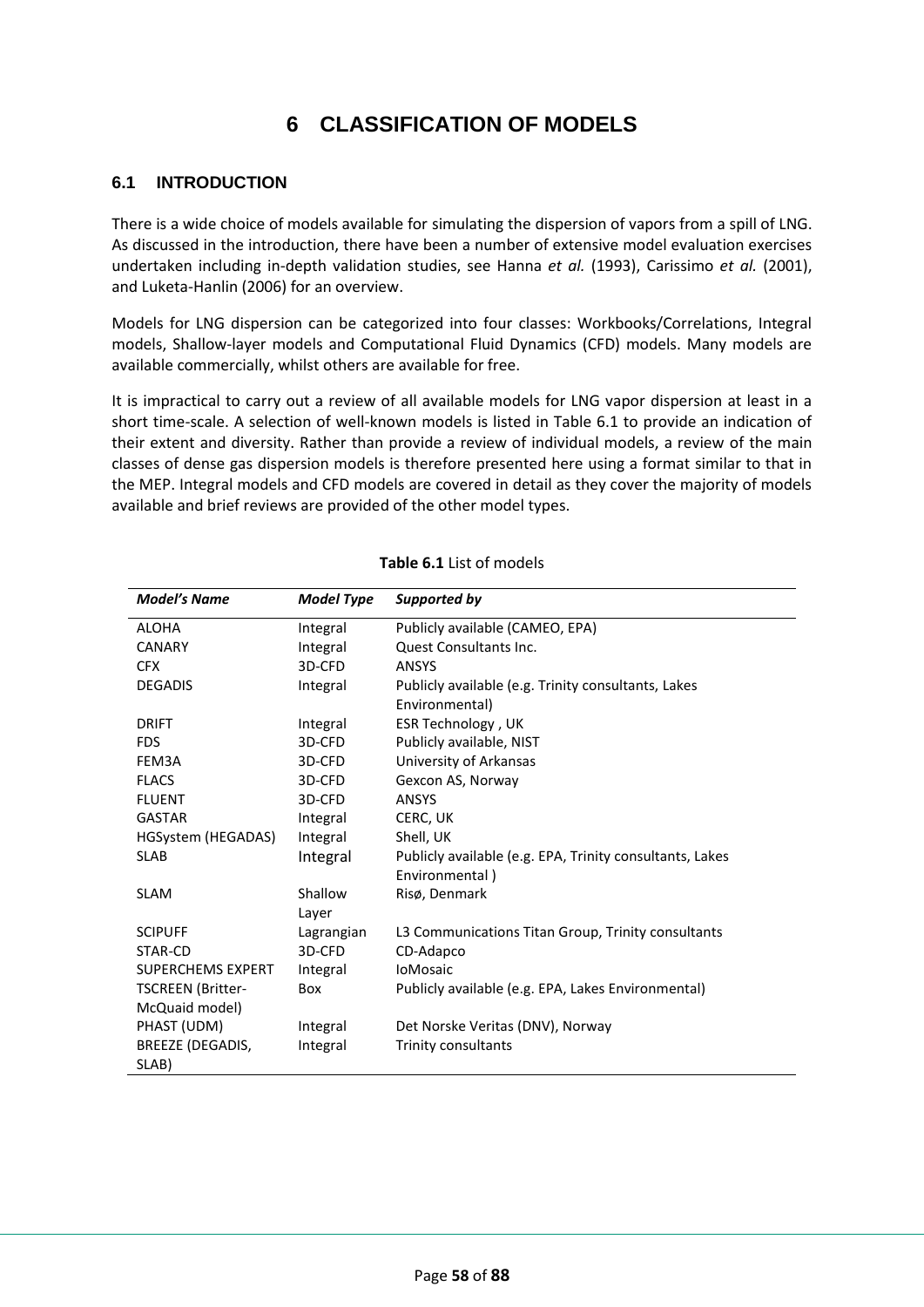Founded in 1896, NFPA is a global, nonprofit organization devoted to eliminating death, injury, property and economic loss due to fire, electrical and related hazards. The association delivers information and knowledge through more than 300 consensus codes and standards, research, training, education, outreach and advocacy; and by partnering with others who share an interest in furthering the NFPA mission.



[All NFPA codes and standards can be viewed online for free.](http://www.nfpa.org/codes-and-standards/free-access)

NFPA's [membership](http://www.nfpa.org/member-access) totals more than 65,000 individuals around the world.

**Keywords:** liquefied natural gas, LNG, dispersion, model evaluation protocol

**Report number:** FPRF-2016-25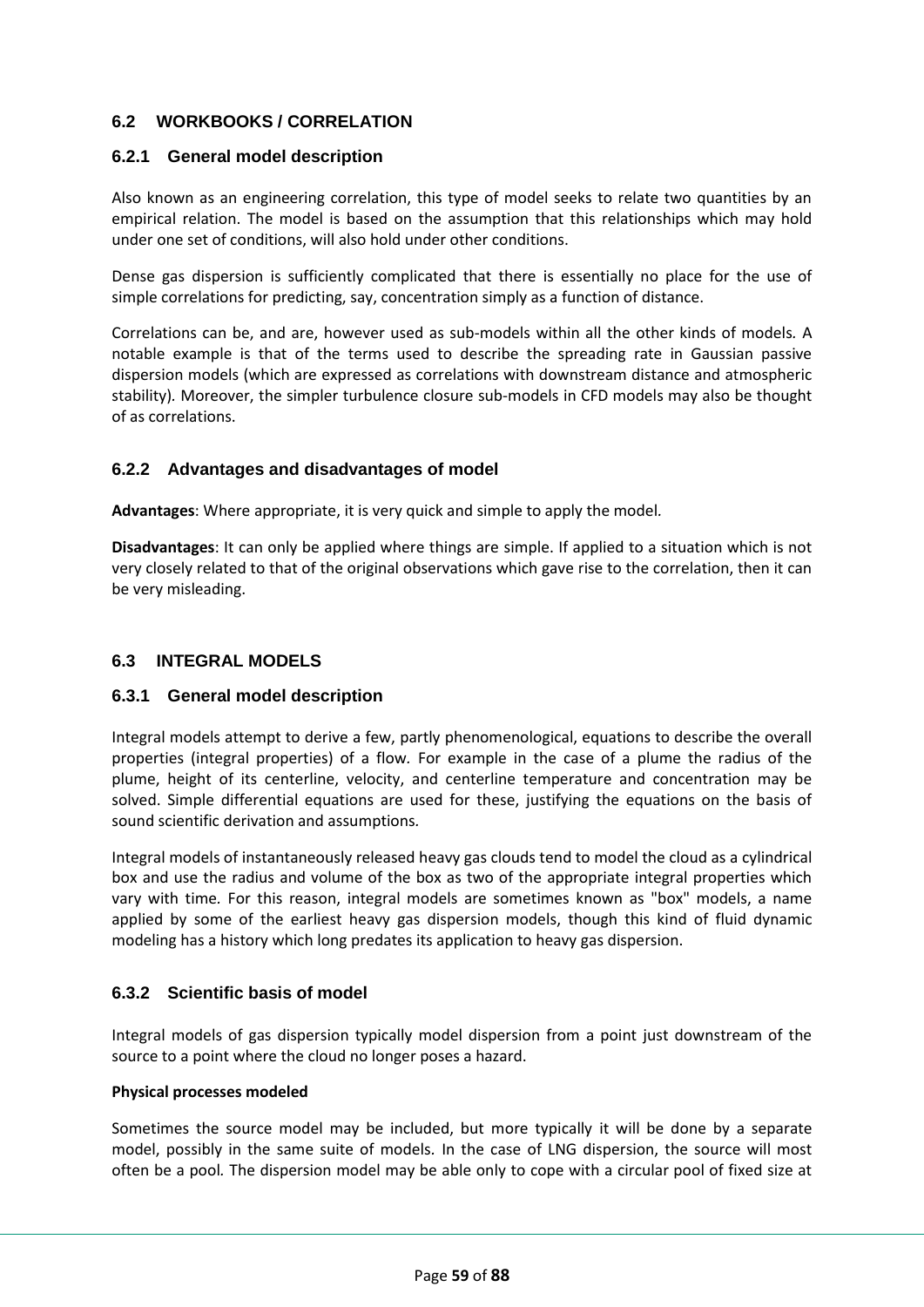## **PROJECT TECHNICAL PANEL**

Jay Jablonski, HSB PLC Richard Hoffmann, Hoffmann & Feige Leon Bowdin, Hess LNG LLC Francis Katulak, Distrigas of Massachusetts, LLC Kevin Ritz, Baltimore Gas & Electric Company Jeffery Beale, CH-IV International David Butler, City of Everett Fire Department Andrew Kohourt, FERC Janna Shapiro, NFPA 59A Staff Liaison Phani Raj, Federal Railroad Administration Anay Luketa-Hanlin, Sandia Labs Filippo Gavelli, GexCon US

## **PROJECT SPONSORS**

US Department of Transportation (DOT) Pipeline and Hazardous Materials Safety Administration (PHMSA)